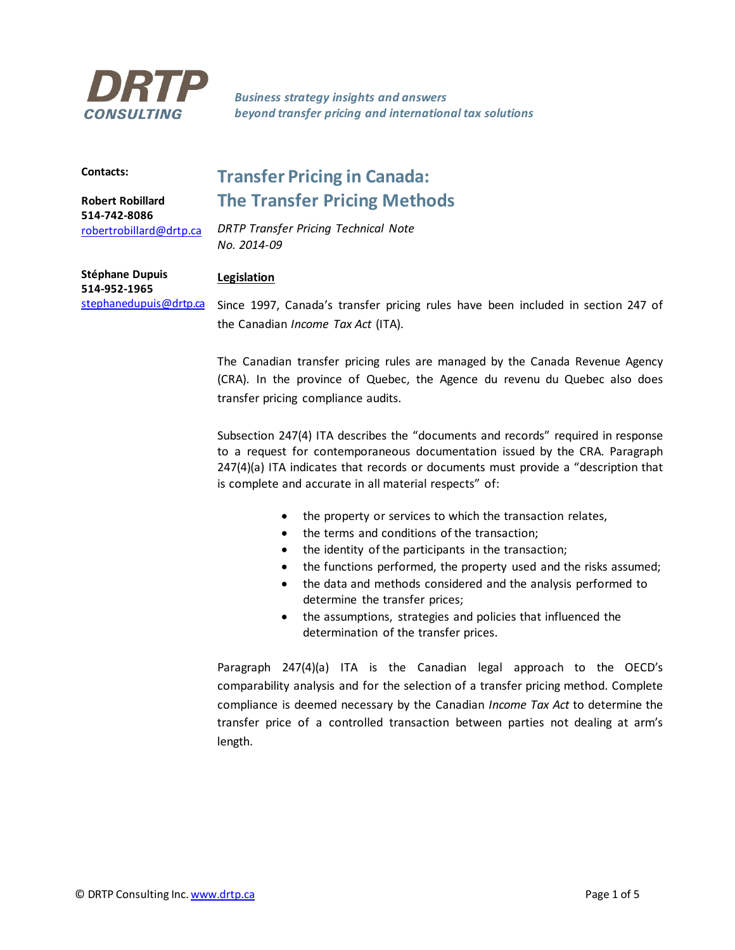

*Business strategy insights and answers beyond transfer pricing and international tax solutions*

## **Contacts:**

**Robert Robillard 514-742-8086** [robertrobillard@drtp.ca](mailto:robertrobillard@drtp.ca)

# **Transfer Pricing in Canada: The Transfer Pricing Methods**

*DRTP Transfer Pricing Technical Note No. 2014-09*

# **Legislation**

**Stéphane Dupuis 514-952-1965** [stephanedupuis@drtp.ca](mailto:stephanedupuis@drtp.ca)

Since 1997, Canada's transfer pricing rules have been included in section 247 of the Canadian *Income Tax Act* (ITA).

The Canadian transfer pricing rules are managed by the Canada Revenue Agency (CRA). In the province of Quebec, the Agence du revenu du Quebec also does transfer pricing compliance audits.

Subsection 247(4) ITA describes the "documents and records" required in response to a request for contemporaneous documentation issued by the CRA. Paragraph 247(4)(a) ITA indicates that records or documents must provide a "description that is complete and accurate in all material respects" of:

- the property or services to which the transaction relates,
- the terms and conditions of the transaction;
- the identity of the participants in the transaction;
- the functions performed, the property used and the risks assumed;
- the data and methods considered and the analysis performed to determine the transfer prices;
- the assumptions, strategies and policies that influenced the determination of the transfer prices.

Paragraph 247(4)(a) ITA is the Canadian legal approach to the OECD's comparability analysis and for the selection of a transfer pricing method. Complete compliance is deemed necessary by the Canadian *Income Tax Act* to determine the transfer price of a controlled transaction between parties not dealing at arm's length.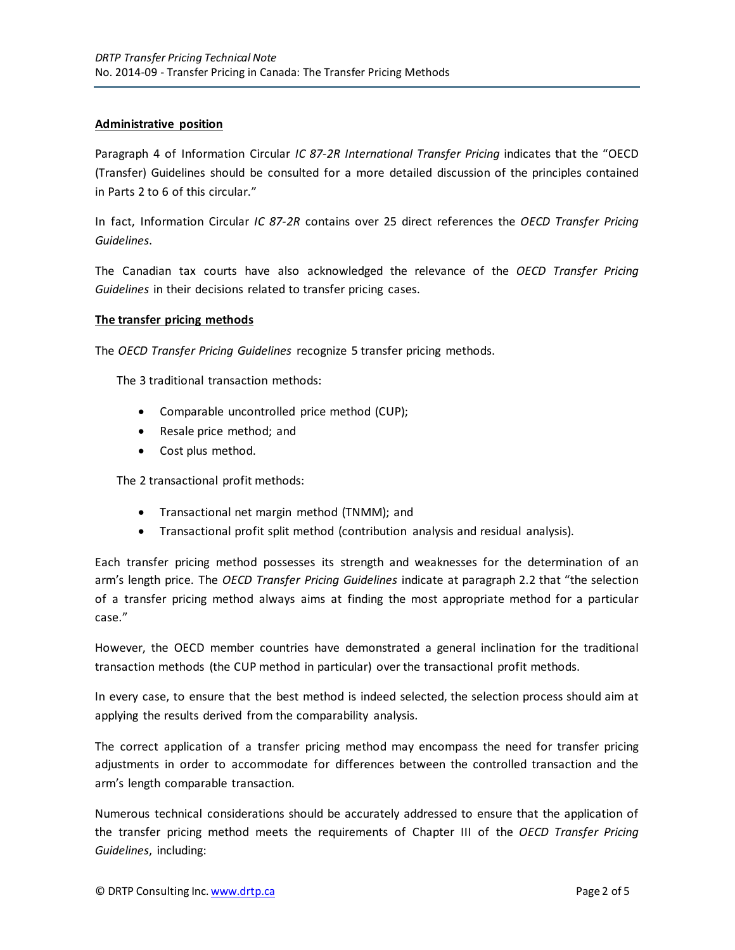# **Administrative position**

Paragraph 4 of Information Circular *IC 87-2R International Transfer Pricing* indicates that the "OECD (Transfer) Guidelines should be consulted for a more detailed discussion of the principles contained in Parts 2 to 6 of this circular."

In fact, Information Circular *IC 87-2R* contains over 25 direct references the *OECD Transfer Pricing Guidelines*.

The Canadian tax courts have also acknowledged the relevance of the *OECD Transfer Pricing Guidelines* in their decisions related to transfer pricing cases.

# **The transfer pricing methods**

The *OECD Transfer Pricing Guidelines* recognize 5 transfer pricing methods.

The 3 traditional transaction methods:

- Comparable uncontrolled price method (CUP);
- Resale price method; and
- Cost plus method.

The 2 transactional profit methods:

- Transactional net margin method (TNMM); and
- Transactional profit split method (contribution analysis and residual analysis).

Each transfer pricing method possesses its strength and weaknesses for the determination of an arm's length price. The *OECD Transfer Pricing Guidelines* indicate at paragraph 2.2 that "the selection of a transfer pricing method always aims at finding the most appropriate method for a particular case."

However, the OECD member countries have demonstrated a general inclination for the traditional transaction methods (the CUP method in particular) over the transactional profit methods.

In every case, to ensure that the best method is indeed selected, the selection process should aim at applying the results derived from the comparability analysis.

The correct application of a transfer pricing method may encompass the need for transfer pricing adjustments in order to accommodate for differences between the controlled transaction and the arm's length comparable transaction.

Numerous technical considerations should be accurately addressed to ensure that the application of the transfer pricing method meets the requirements of Chapter III of the *OECD Transfer Pricing Guidelines*, including: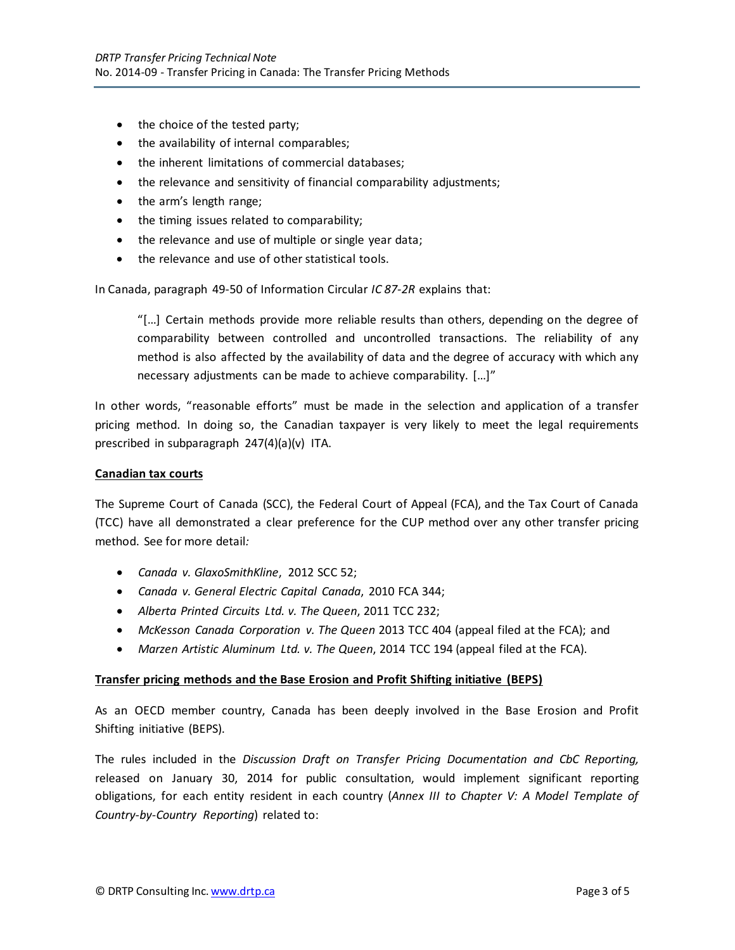- the choice of the tested party;
- the availability of internal comparables;
- the inherent limitations of commercial databases;
- the relevance and sensitivity of financial comparability adjustments;
- the arm's length range;
- the timing issues related to comparability;
- the relevance and use of multiple or single year data;
- the relevance and use of other statistical tools.

In Canada, paragraph 49-50 of Information Circular *IC 87-2R* explains that:

"[…] Certain methods provide more reliable results than others, depending on the degree of comparability between controlled and uncontrolled transactions. The reliability of any method is also affected by the availability of data and the degree of accuracy with which any necessary adjustments can be made to achieve comparability. […]"

In other words, "reasonable efforts" must be made in the selection and application of a transfer pricing method. In doing so, the Canadian taxpayer is very likely to meet the legal requirements prescribed in subparagraph 247(4)(a)(v) ITA.

#### **Canadian tax courts**

The Supreme Court of Canada (SCC), the Federal Court of Appeal (FCA), and the Tax Court of Canada (TCC) have all demonstrated a clear preference for the CUP method over any other transfer pricing method. See for more detail*:*

- *Canada v. GlaxoSmithKline*, 2012 SCC 52;
- *Canada v. General Electric Capital Canada*, 2010 FCA 344;
- *Alberta Printed Circuits Ltd. v. The Queen*, 2011 TCC 232;
- *McKesson Canada Corporation v. The Queen* 2013 TCC 404 (appeal filed at the FCA); and
- *Marzen Artistic Aluminum Ltd. v. The Queen*, 2014 TCC 194 (appeal filed at the FCA).

## **Transfer pricing methods and the Base Erosion and Profit Shifting initiative (BEPS)**

As an OECD member country, Canada has been deeply involved in the Base Erosion and Profit Shifting initiative (BEPS).

The rules included in the *Discussion Draft on Transfer Pricing Documentation and CbC Reporting,* released on January 30, 2014 for public consultation, would implement significant reporting obligations, for each entity resident in each country (*Annex III to Chapter V: A Model Template of Country-by-Country Reporting*) related to: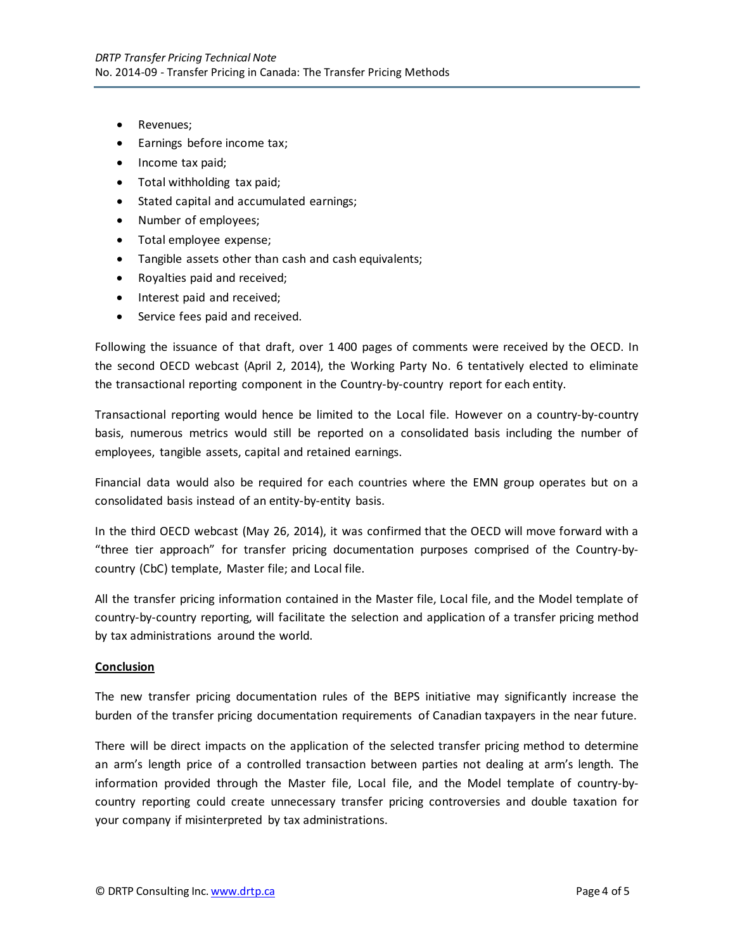- Revenues;
- Earnings before income tax;
- Income tax paid;
- Total withholding tax paid;
- Stated capital and accumulated earnings;
- Number of employees;
- Total employee expense;
- Tangible assets other than cash and cash equivalents;
- Royalties paid and received;
- Interest paid and received;
- Service fees paid and received.

Following the issuance of that draft, over 1 400 pages of comments were received by the OECD. In the second OECD webcast (April 2, 2014), the Working Party No. 6 tentatively elected to eliminate the transactional reporting component in the Country-by-country report for each entity.

Transactional reporting would hence be limited to the Local file. However on a country-by-country basis, numerous metrics would still be reported on a consolidated basis including the number of employees, tangible assets, capital and retained earnings.

Financial data would also be required for each countries where the EMN group operates but on a consolidated basis instead of an entity-by-entity basis.

In the third OECD webcast (May 26, 2014), it was confirmed that the OECD will move forward with a "three tier approach" for transfer pricing documentation purposes comprised of the Country-bycountry (CbC) template, Master file; and Local file.

All the transfer pricing information contained in the Master file, Local file, and the Model template of country-by-country reporting, will facilitate the selection and application of a transfer pricing method by tax administrations around the world.

## **Conclusion**

The new transfer pricing documentation rules of the BEPS initiative may significantly increase the burden of the transfer pricing documentation requirements of Canadian taxpayers in the near future.

There will be direct impacts on the application of the selected transfer pricing method to determine an arm's length price of a controlled transaction between parties not dealing at arm's length. The information provided through the Master file, Local file, and the Model template of country-bycountry reporting could create unnecessary transfer pricing controversies and double taxation for your company if misinterpreted by tax administrations.